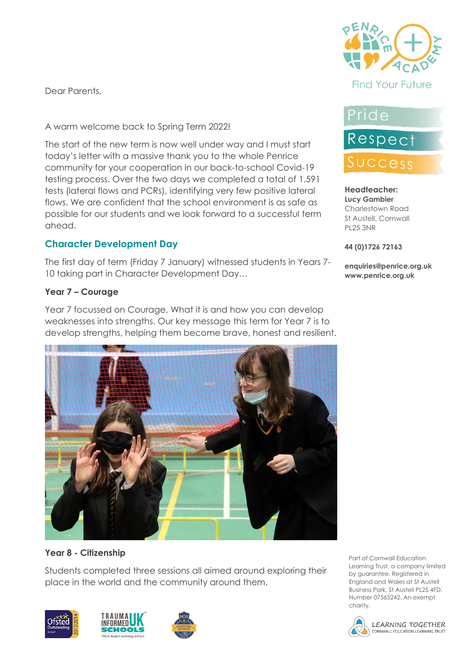Dear Parents,

A warm welcome back to Spring Term 2022!

The start of the new term is now well under way and I must start today's letter with a massive thank you to the whole Penrice community for your cooperation in our back-to-school Covid-19 testing process. Over the two days we completed a total of 1,591 tests (lateral flows and PCRs), identifying very few positive lateral flows. We are confident that the school environment is as safe as possible for our students and we look forward to a successful term ahead.

# **Character Development Day**

The first day of term (Friday 7 January) witnessed students in Years 7- 10 taking part in Character Development Day…

#### **Year 7 – Courage**

Year 7 focussed on Courage. What it is and how you can develop weaknesses into strengths. Our key message this term for Year 7 is to develop strengths, helping them become brave, honest and resilient.



### **Year 8 - Citizenship**

Students completed three sessions all aimed around exploring their place in the world and the community around them.









# Pride

# Respect Success

#### **Headteacher: Lucy Gambier** Charlestown Road St Austell, Cornwall PL25 3NR

#### **44 (0)1726 72163**

**enquiries@penrice.org.uk www.penrice.org.uk**

Part of Cornwall Education Learning Trust, a company limited by guarantee. Registered in England and Wales at St Austell Business Park, St Austell PL25 4FD. Number 07565242. An exempt charity.

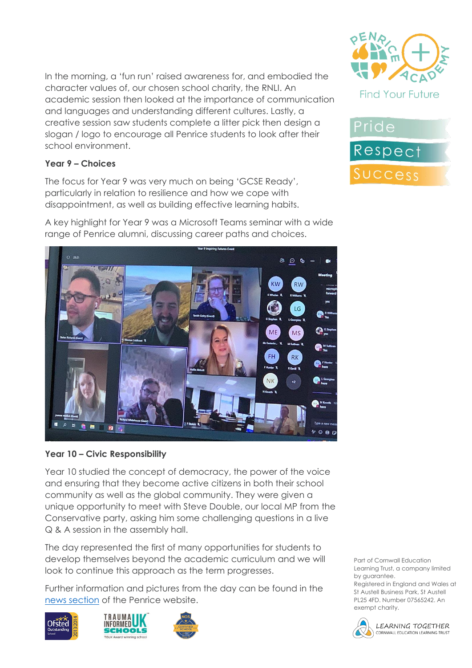In the morning, a 'fun run' raised awareness for, and embodied the character values of, our chosen school charity, the RNLI. An academic session then looked at the importance of communication and languages and understanding different cultures. Lastly, a creative session saw students complete a litter pick then design a slogan / logo to encourage all Penrice students to look after their school environment.

#### **Year 9 – Choices**

The focus for Year 9 was very much on being 'GCSE Ready', particularly in relation to resilience and how we cope with disappointment, as well as building effective learning habits.

A key highlight for Year 9 was a Microsoft Teams seminar with a wide range of Penrice alumni, discussing career paths and choices.

 $800$ 

 $M<sub>S</sub>$ 

**RK** 

ME

 $\bullet$ 

 $\mathbf{O}^{\text{cs}}$ 

**OD** MSH

**OR** Filters

**Co** L Georg

**B** NKo

 $20000$ 

#### **Year 10 – Civic Responsibility**

Year 10 studied the concept of democracy, the power of the voice and ensuring that they become active citizens in both their school community as well as the global community. They were given a unique opportunity to meet with Steve Double, our local MP from the Conservative party, asking him some challenging questions in a live Q & A session in the assembly hall.

The day represented the first of many opportunities for students to develop themselves beyond the academic curriculum and we will look to continue this approach as the term progresses.

Further information and pictures from the day can be found in the [news section](https://www.penriceacademy.org/character-development-day-kickstarts-the-spring-term) of the Penrice website.











Part of Cornwall Education Learning Trust, a company limited by guarantee.

Registered in England and Wales at St Austell Business Park, St Austell PL25 4FD. Number 07565242. An exempt charity.

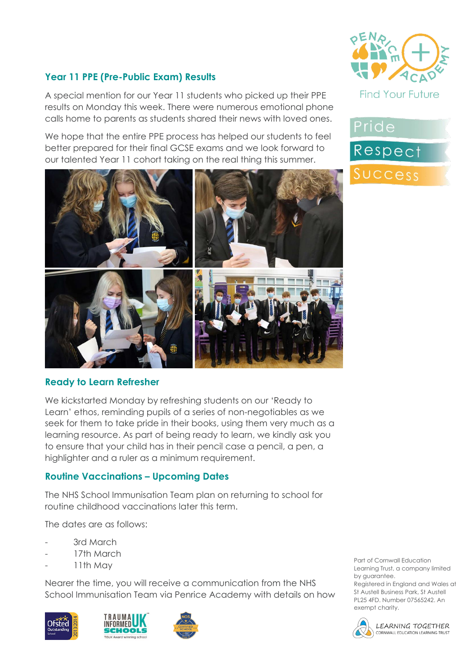

Pride

Respect

SUCCess

### **Year 11 PPE (Pre-Public Exam) Results**

A special mention for our Year 11 students who picked up their PPE results on Monday this week. There were numerous emotional phone calls home to parents as students shared their news with loved ones.

We hope that the entire PPE process has helped our students to feel better prepared for their final GCSE exams and we look forward to our talented Year 11 cohort taking on the real thing this summer.



#### **Ready to Learn Refresher**

We kickstarted Monday by refreshing students on our 'Ready to Learn' ethos, reminding pupils of a series of non-negotiables as we seek for them to take pride in their books, using them very much as a learning resource. As part of being ready to learn, we kindly ask you to ensure that your child has in their pencil case a pencil, a pen, a highlighter and a ruler as a minimum requirement.

#### **Routine Vaccinations – Upcoming Dates**

The NHS School Immunisation Team plan on returning to school for routine childhood vaccinations later this term.

The dates are as follows:

- 3rd March
- 17th March
- 11th May

Nearer the time, you will receive a communication from the NHS School Immunisation Team via Penrice Academy with details on how







Part of Cornwall Education Learning Trust, a company limited by guarantee.

Registered in England and Wales at St Austell Business Park, St Austell PL25 4FD. Number 07565242. An exempt charity.



**LEARNING TOGETHER** CORNWALL EDUCATION LEARNING TRUST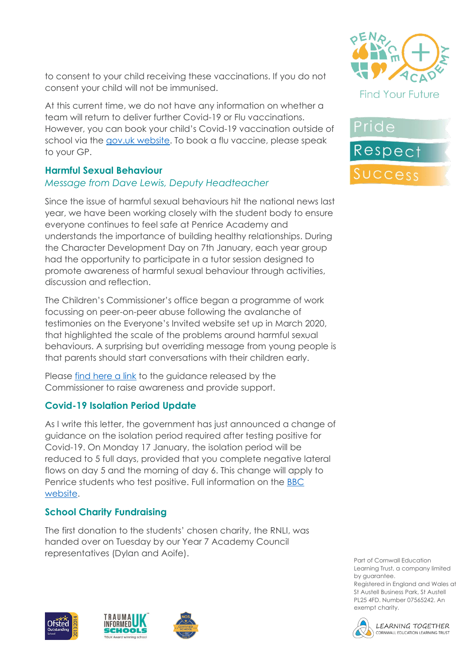to consent to your child receiving these vaccinations. If you do not consent your child will not be immunised.

At this current time, we do not have any information on whether a team will return to deliver further Covid-19 or Flu vaccinations. However, you can book your child's Covid-19 vaccination outside of school via the [gov.uk website.](https://www.nhs.uk/conditions/coronavirus-covid-19/coronavirus-vaccination/book-coronavirus-vaccination/) To book a flu vaccine, please speak to your GP.

### **Harmful Sexual Behaviour**

### *Message from Dave Lewis, Deputy Headteacher*

Since the issue of harmful sexual behaviours hit the national news last year, we have been working closely with the student body to ensure everyone continues to feel safe at Penrice Academy and understands the importance of building healthy relationships. During the Character Development Day on 7th January, each year group had the opportunity to participate in a tutor session designed to promote awareness of harmful sexual behaviour through activities, discussion and reflection.

The Children's Commissioner's office began a programme of work focussing on peer-on-peer abuse following the avalanche of testimonies on the Everyone's Invited website set up in March 2020, that highlighted the scale of the problems around harmful sexual behaviours. A surprising but overriding message from young people is that parents should start conversations with their children early.

Please [find here a link](https://www.childrenscommissioner.gov.uk/report/talking-to-your-child-about-online-sexual-harassment-a-guide-for-parents/?utm_source=16%20December%202021%20C19&utm_medium=Daily%20Email%20C19&utm_campaign=DfE%20C19) to the guidance released by the Commissioner to raise awareness and provide support.

## **Covid-19 Isolation Period Update**

As I write this letter, the government has just announced a change of guidance on the isolation period required after testing positive for Covid-19. On Monday 17 January, the isolation period will be reduced to 5 full days, provided that you complete negative lateral flows on day 5 and the morning of day 6. This change will apply to Penrice students who test positive. Full information on the [BBC](https://www.bbc.co.uk/news/uk-59980505)  [website.](https://www.bbc.co.uk/news/uk-59980505)

## **School Charity Fundraising**

The first donation to the students' chosen charity, the RNLI, was handed over on Tuesday by our Year 7 Academy Council representatives (Dylan and Aoife).











Part of Cornwall Education Learning Trust, a company limited by guarantee. Registered in England and Wales at St Austell Business Park, St Austell

PL25 4FD. Number 07565242. An exempt charity.